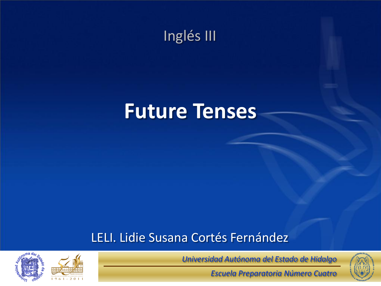

### **Future Tenses**

#### LELI. Lidie Susana Cortés Fernández



*Universidad Autónoma del Estado de Hidalgo*

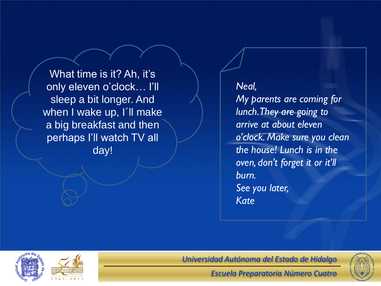What time is it? Ah, it's only eleven o'clock… I'll sleep a bit longer. And when I wake up, I'll make a big breakfast and then perhaps I'll watch TV all day!

*Neal, My parents are coming for lunch. They are going to arrive at about eleven o'clock. Make sure you clean the house! Lunch is in the oven, don't forget it or it'll burn. See you later, Kate*



*Universidad Autónoma del Estado de Hidalgo*

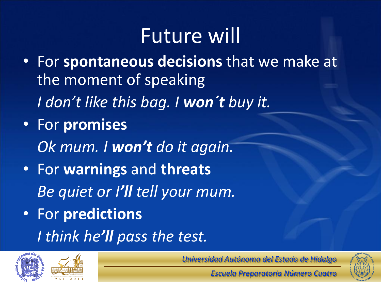# Future will

- For **spontaneous decisions** that we make at the moment of speaking *I don't like this bag. I won´t buy it.* • For **promises** *Ok mum. I won't do it again.* • For **warnings** and **threats** *Be quiet or I'll tell your mum.* • For **predictions**
	- *I think he'll pass the test.*



*Universidad Autónoma del Estado de Hidalgo*

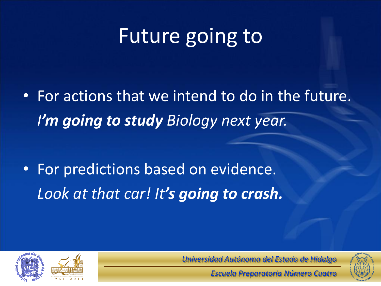# Future going to

• For actions that we intend to do in the future. *I'm going to study Biology next year.*

• For predictions based on evidence. *Look at that car! It's going to crash.*



*Universidad Autónoma del Estado de Hidalgo*

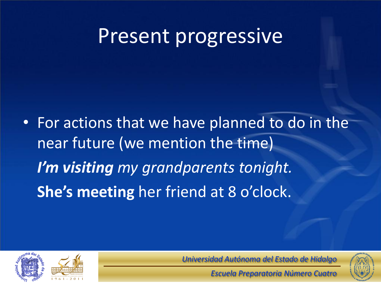#### Present progressive

• For actions that we have planned to do in the near future (we mention the time) *I'm visiting my grandparents tonight.* **She's meeting** her friend at 8 o'clock.



*Universidad Autónoma del Estado de Hidalgo*